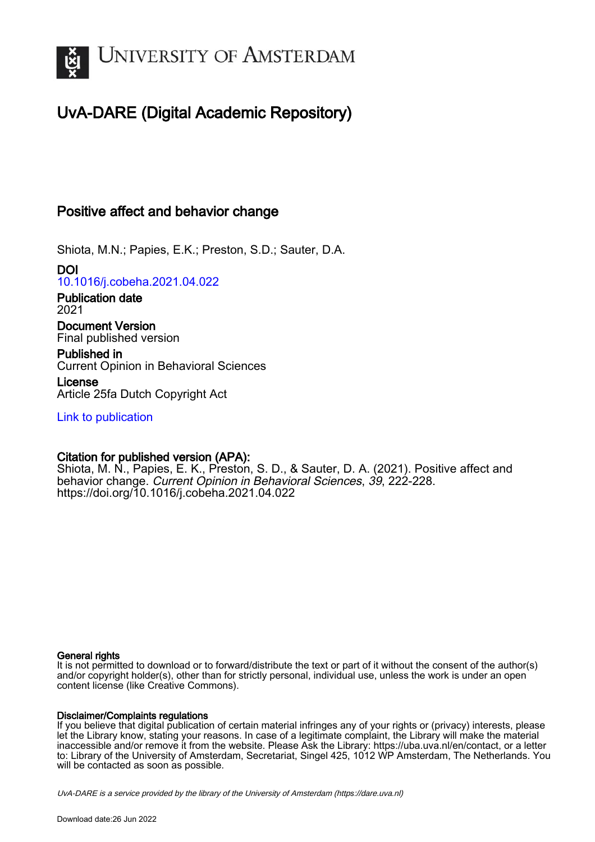

# UvA-DARE (Digital Academic Repository)

## Positive affect and behavior change

Shiota, M.N.; Papies, E.K.; Preston, S.D.; Sauter, D.A.

DOI [10.1016/j.cobeha.2021.04.022](https://doi.org/10.1016/j.cobeha.2021.04.022)

Publication date 2021

Document Version Final published version

Published in Current Opinion in Behavioral Sciences

License Article 25fa Dutch Copyright Act

[Link to publication](https://dare.uva.nl/personal/pure/en/publications/positive-affect-and-behavior-change(8fadf8ac-8bc4-4c98-9c33-add1fcbfaf0c).html)

## Citation for published version (APA):

Shiota, M. N., Papies, E. K., Preston, S. D., & Sauter, D. A. (2021). Positive affect and behavior change. Current Opinion in Behavioral Sciences, 39, 222-228. <https://doi.org/10.1016/j.cobeha.2021.04.022>

## General rights

It is not permitted to download or to forward/distribute the text or part of it without the consent of the author(s) and/or copyright holder(s), other than for strictly personal, individual use, unless the work is under an open content license (like Creative Commons).

## Disclaimer/Complaints regulations

If you believe that digital publication of certain material infringes any of your rights or (privacy) interests, please let the Library know, stating your reasons. In case of a legitimate complaint, the Library will make the material inaccessible and/or remove it from the website. Please Ask the Library: https://uba.uva.nl/en/contact, or a letter to: Library of the University of Amsterdam, Secretariat, Singel 425, 1012 WP Amsterdam, The Netherlands. You will be contacted as soon as possible.

UvA-DARE is a service provided by the library of the University of Amsterdam (http*s*://dare.uva.nl)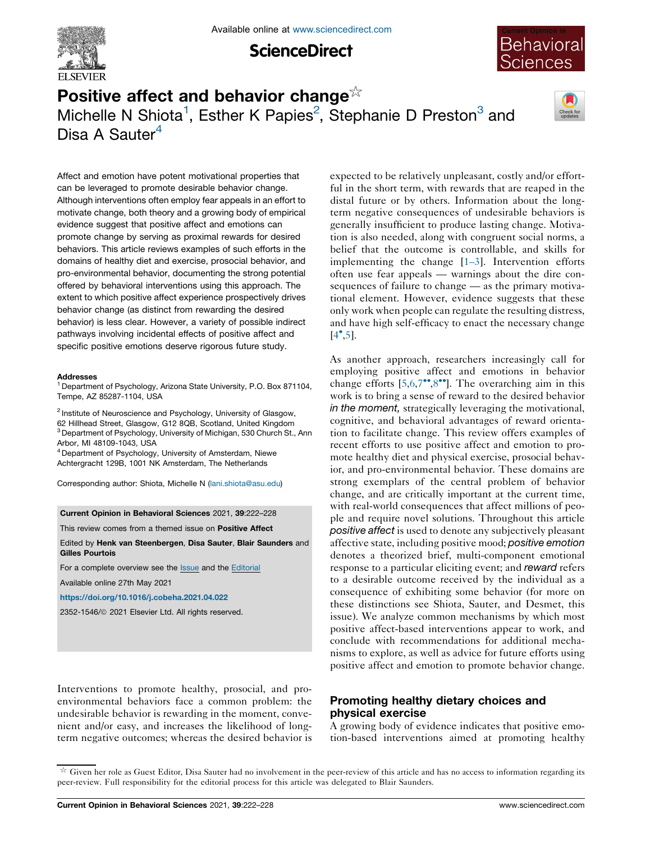

**ScienceDirect** 



## Positive affect and behavior change $\frac{1}{2}$ Michelle N Shiota<sup>1</sup>, Esther K Papies<sup>2</sup>, Stephanie D Preston<sup>3</sup> and Disa A Sauter<sup>4</sup>



Affect and emotion have potent motivational properties that can be leveraged to promote desirable behavior change. Although interventions often employ fear appeals in an effort to motivate change, both theory and a growing body of empirical evidence suggest that positive affect and emotions can promote change by serving as proximal rewards for desired behaviors. This article reviews examples of such efforts in the domains of healthy diet and exercise, prosocial behavior, and pro-environmental behavior, documenting the strong potential offered by behavioral interventions using this approach. The extent to which positive affect experience prospectively drives behavior change (as distinct from rewarding the desired behavior) is less clear. However, a variety of possible indirect pathways involving incidental effects of positive affect and specific positive emotions deserve rigorous future study.

#### Addresses

<sup>1</sup> Department of Psychology, Arizona State University, P.O. Box 871104, Tempe, AZ 85287-1104, USA

 Institute of Neuroscience and Psychology, University of Glasgow, Hillhead Street, Glasgow, G12 8QB, Scotland, United Kingdom Department of Psychology, University of Michigan, 530 Church St., Ann Arbor, MI 48109-1043, USA

<sup>4</sup> Department of Psychology, University of Amsterdam, Niewe Achtergracht 129B, 1001 NK Amsterdam, The Netherlands

Corresponding author: Shiota, Michelle N (lani.shiota@asu.edu)

Current Opinion in Behavioral Sciences 2021, 39:222–228

This review comes from a themed issue on Positive Affect

Edited by Henk van Steenbergen, Disa Sauter, Blair Saunders and Gilles Pourtois

For a complete overview see the **Issue** and the **Editorial** 

Available online 27th May 2021

https://doi.org/10.1016/j.cobeha.2021.04.022

2352-1546/ã 2021 Elsevier Ltd. All rights reserved.

Interventions to promote healthy, prosocial, and proenvironmental behaviors face a common problem: the undesirable behavior is rewarding in the moment, convenient and/or easy, and increases the likelihood of longterm negative outcomes; whereas the desired behavior is expected to be relatively unpleasant, costly and/or effortful in the short term, with rewards that are reaped in the distal future or by others. Information about the longterm negative consequences of undesirable behaviors is generally insufficient to produce lasting change. Motivation is also needed, along with congruent social norms, a belief that the outcome is controllable, and skills for implementing the change [1–3]. Intervention efforts often use fear appeals — warnings about the dire consequences of failure to change — as the primary motivational element. However, evidence suggests that these only work when people can regulate the resulting distress, and have high self-efficacy to enact the necessary change  $[4^{\bullet}, 5]$ .

As another approach, researchers increasingly call for employing positive affect and emotions in behavior change efforts  $[5,6,7^{\bullet\bullet},8^{\bullet\bullet}]$ . The overarching aim in this work is to bring a sense of reward to the desired behavior in the moment, strategically leveraging the motivational, cognitive, and behavioral advantages of reward orientation to facilitate change. This review offers examples of recent efforts to use positive affect and emotion to promote healthy diet and physical exercise, prosocial behavior, and pro-environmental behavior. These domains are strong exemplars of the central problem of behavior change, and are critically important at the current time, with real-world consequences that affect millions of people and require novel solutions. Throughout this article positive affect is used to denote any subjectively pleasant affective state, including positive mood; positive emotion denotes a theorized brief, multi-component emotional response to a particular eliciting event; and reward refers to a desirable outcome received by the individual as a consequence of exhibiting some behavior (for more on these distinctions see Shiota, Sauter, and Desmet, this issue). We analyze common mechanisms by which most positive affect-based interventions appear to work, and conclude with recommendations for additional mechanisms to explore, as well as advice for future efforts using positive affect and emotion to promote behavior change.

## Promoting healthy dietary choices and physical exercise

A growing body of evidence indicates that positive emotion-based interventions aimed at promoting healthy

 $\overline{\mathbb{R}}$  Given her role as Guest Editor, Disa Sauter had no involvement in the peer-review of this article and has no access to information regarding its peer-review. Full responsibility for the editorial process for this article was delegated to Blair Saunders.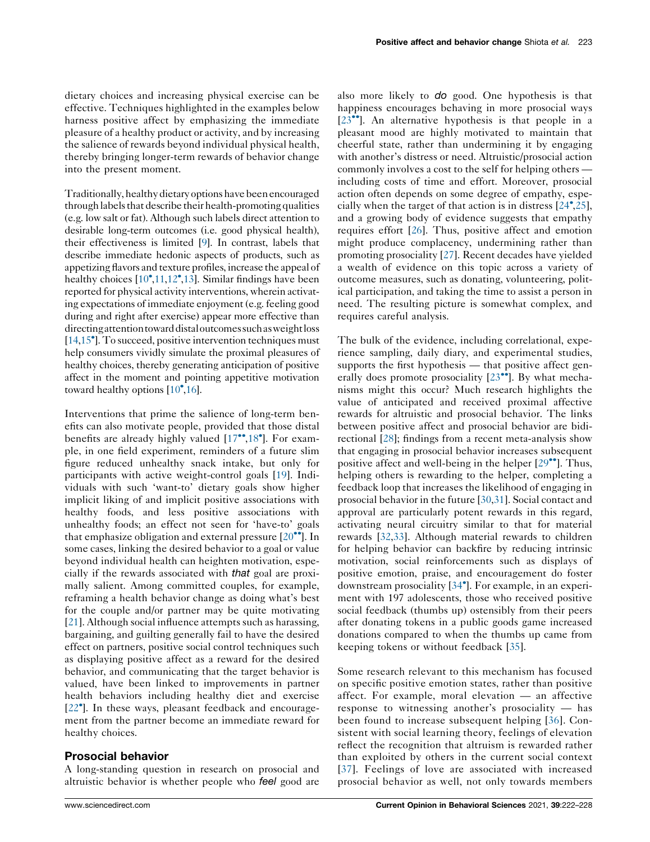dietary choices and increasing physical exercise can be effective. Techniques highlighted in the examples below harness positive affect by emphasizing the immediate pleasure of a healthy product or activity, and by increasing the salience of rewards beyond individual physical health, thereby bringing longer-term rewards of behavior change into the present moment.

Traditionally, healthy dietaryoptions have been encouraged through labels that describe their health-promoting qualities (e.g. low salt or fat). Although such labels direct attention to desirable long-term outcomes (i.e. good physical health), their effectiveness is limited [9]. In contrast, labels that describe immediate hedonic aspects of products, such as appetizing flavors and texture profiles, increase the appeal of healthy choices [10<sup>•</sup>,11,12<sup>•</sup>,13]. Similar findings have been reported for physical activity interventions, wherein activating expectations of immediate enjoyment (e.g. feeling good during and right after exercise) appear more effective than directing attention toward distal outcomes such as weight loss [14,15<sup>°</sup>]. To succeed, positive intervention techniques must help consumers vividly simulate the proximal pleasures of healthy choices, thereby generating anticipation of positive affect in the moment and pointing appetitive motivation toward healthy options  $[10^{\bullet}, 16]$ .

Interventions that prime the salience of long-term benefits can also motivate people, provided that those distal benefits are already highly valued [17",18"]. For example, in one field experiment, reminders of a future slim figure reduced unhealthy snack intake, but only for participants with active weight-control goals [19]. Individuals with such 'want-to' dietary goals show higher implicit liking of and implicit positive associations with healthy foods, and less positive associations with unhealthy foods; an effect not seen for 'have-to' goals that emphasize obligation and external pressure  $[20\text{°}$ . In some cases, linking the desired behavior to a goal or value beyond individual health can heighten motivation, especially if the rewards associated with that goal are proximally salient. Among committed couples, for example, reframing a health behavior change as doing what's best for the couple and/or partner may be quite motivating [21]. Although social influence attempts such as harassing, bargaining, and guilting generally fail to have the desired effect on partners, positive social control techniques such as displaying positive affect as a reward for the desired behavior, and communicating that the target behavior is valued, have been linked to improvements in partner health behaviors including healthy diet and exercise [22 ]. In these ways, pleasant feedback and encouragement from the partner become an immediate reward for healthy choices.

## Prosocial behavior

A long-standing question in research on prosocial and altruistic behavior is whether people who feel good are

also more likely to do good. One hypothesis is that happiness encourages behaving in more prosocial ways  $[23$ <sup> $\bullet$ </sup>. An alternative hypothesis is that people in a pleasant mood are highly motivated to maintain that cheerful state, rather than undermining it by engaging with another's distress or need. Altruistic/prosocial action commonly involves a cost to the self for helping others including costs of time and effort. Moreover, prosocial action often depends on some degree of empathy, especially when the target of that action is in distress [24 ,25], and a growing body of evidence suggests that empathy requires effort [26]. Thus, positive affect and emotion might produce complacency, undermining rather than promoting prosociality [27]. Recent decades have yielded a wealth of evidence on this topic across a variety of outcome measures, such as donating, volunteering, political participation, and taking the time to assist a person in need. The resulting picture is somewhat complex, and requires careful analysis.

The bulk of the evidence, including correlational, experience sampling, daily diary, and experimental studies, supports the first hypothesis — that positive affect generally does promote prosociality  $[23\bullet]$ . By what mechanisms might this occur? Much research highlights the value of anticipated and received proximal affective rewards for altruistic and prosocial behavior. The links between positive affect and prosocial behavior are bidirectional [28]; findings from a recent meta-analysis show that engaging in prosocial behavior increases subsequent positive affect and well-being in the helper  $[29\bullet]$ . Thus, helping others is rewarding to the helper, completing a feedback loop that increases the likelihood of engaging in prosocial behavior in the future [30,31]. Social contact and approval are particularly potent rewards in this regard, activating neural circuitry similar to that for material rewards [32,33]. Although material rewards to children for helping behavior can backfire by reducing intrinsic motivation, social reinforcements such as displays of positive emotion, praise, and encouragement do foster downstream prosociality [34 ]. For example, in an experiment with 197 adolescents, those who received positive social feedback (thumbs up) ostensibly from their peers after donating tokens in a public goods game increased donations compared to when the thumbs up came from keeping tokens or without feedback [35].

Some research relevant to this mechanism has focused on specific positive emotion states, rather than positive affect. For example, moral elevation — an affective response to witnessing another's prosociality — has been found to increase subsequent helping [36]. Consistent with social learning theory, feelings of elevation reflect the recognition that altruism is rewarded rather than exploited by others in the current social context [37]. Feelings of love are associated with increased prosocial behavior as well, not only towards members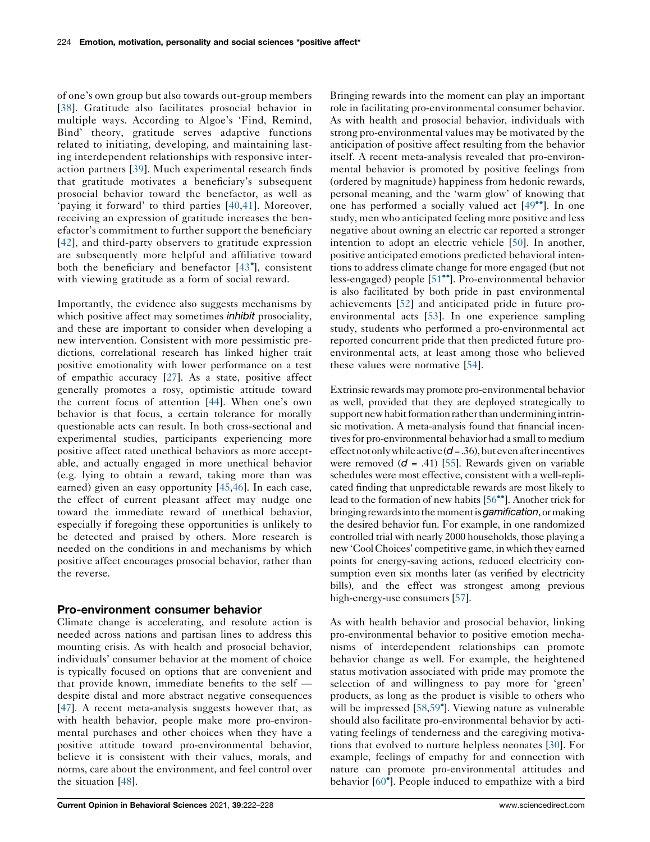of one's own group but also towards out-group members [38]. Gratitude also facilitates prosocial behavior in multiple ways. According to Algoe's 'Find, Remind, Bind' theory, gratitude serves adaptive functions related to initiating, developing, and maintaining lasting interdependent relationships with responsive interaction partners [39]. Much experimental research finds that gratitude motivates a beneficiary's subsequent prosocial behavior toward the benefactor, as well as 'paying it forward' to third parties [40,41]. Moreover, receiving an expression of gratitude increases the benefactor's commitment to further support the beneficiary [42], and third-party observers to gratitude expression are subsequently more helpful and affiliative toward both the beneficiary and benefactor [43 ], consistent with viewing gratitude as a form of social reward.

Importantly, the evidence also suggests mechanisms by which positive affect may sometimes *inhibit* prosociality, and these are important to consider when developing a new intervention. Consistent with more pessimistic predictions, correlational research has linked higher trait positive emotionality with lower performance on a test of empathic accuracy [27]. As a state, positive affect generally promotes a rosy, optimistic attitude toward the current focus of attention [44]. When one's own behavior is that focus, a certain tolerance for morally questionable acts can result. In both cross-sectional and experimental studies, participants experiencing more positive affect rated unethical behaviors as more acceptable, and actually engaged in more unethical behavior (e.g. lying to obtain a reward, taking more than was earned) given an easy opportunity [45,46]. In each case, the effect of current pleasant affect may nudge one toward the immediate reward of unethical behavior, especially if foregoing these opportunities is unlikely to be detected and praised by others. More research is needed on the conditions in and mechanisms by which positive affect encourages prosocial behavior, rather than the reverse.

### Pro-environment consumer behavior

Climate change is accelerating, and resolute action is needed across nations and partisan lines to address this mounting crisis. As with health and prosocial behavior, individuals' consumer behavior at the moment of choice is typically focused on options that are convenient and that provide known, immediate benefits to the self despite distal and more abstract negative consequences [47]. A recent meta-analysis suggests however that, as with health behavior, people make more pro-environmental purchases and other choices when they have a positive attitude toward pro-environmental behavior, believe it is consistent with their values, morals, and norms, care about the environment, and feel control over the situation [48].

Bringing rewards into the moment can play an important role in facilitating pro-environmental consumer behavior. As with health and prosocial behavior, individuals with strong pro-environmental values may be motivated by the anticipation of positive affect resulting from the behavior itself. A recent meta-analysis revealed that pro-environmental behavior is promoted by positive feelings from (ordered by magnitude) happiness from hedonic rewards, personal meaning, and the 'warm glow' of knowing that one has performed a socially valued act  $[49$ <sup> $\degree$ </sup>. In one study, men who anticipated feeling more positive and less negative about owning an electric car reported a stronger intention to adopt an electric vehicle [50]. In another, positive anticipated emotions predicted behavioral intentions to address climate change for more engaged (but not less-engaged) people [51<sup>••</sup>]. Pro-environmental behavior is also facilitated by both pride in past environmental achievements [52] and anticipated pride in future proenvironmental acts [53]. In one experience sampling study, students who performed a pro-environmental act reported concurrent pride that then predicted future proenvironmental acts, at least among those who believed these values were normative [54].

Extrinsic rewards may promote pro-environmental behavior as well, provided that they are deployed strategically to support new habit formation rather than undermining intrinsic motivation. A meta-analysis found that financial incentives for pro-environmental behavior had a small to medium effect not only while active  $(d = .36)$ , but even after incentives were removed  $(d = .41)$  [55]. Rewards given on variable schedules were most effective, consistent with a well-replicated finding that unpredictable rewards are most likely to lead to the formation of new habits [56<sup>••</sup>]. Another trick for bringing rewards into the moment is *gamification*, or making the desired behavior fun. For example, in one randomized controlled trial with nearly 2000 households, those playing a new 'Cool Choices' competitive game, in which they earned points for energy-saving actions, reduced electricity consumption even six months later (as verified by electricity bills), and the effect was strongest among previous high-energy-use consumers [57].

As with health behavior and prosocial behavior, linking pro-environmental behavior to positive emotion mechanisms of interdependent relationships can promote behavior change as well. For example, the heightened status motivation associated with pride may promote the selection of and willingness to pay more for 'green' products, as long as the product is visible to others who will be impressed [58,59<sup>°</sup>]. Viewing nature as vulnerable should also facilitate pro-environmental behavior by activating feelings of tenderness and the caregiving motivations that evolved to nurture helpless neonates [30]. For example, feelings of empathy for and connection with nature can promote pro-environmental attitudes and behavior [60 ]. People induced to empathize with a bird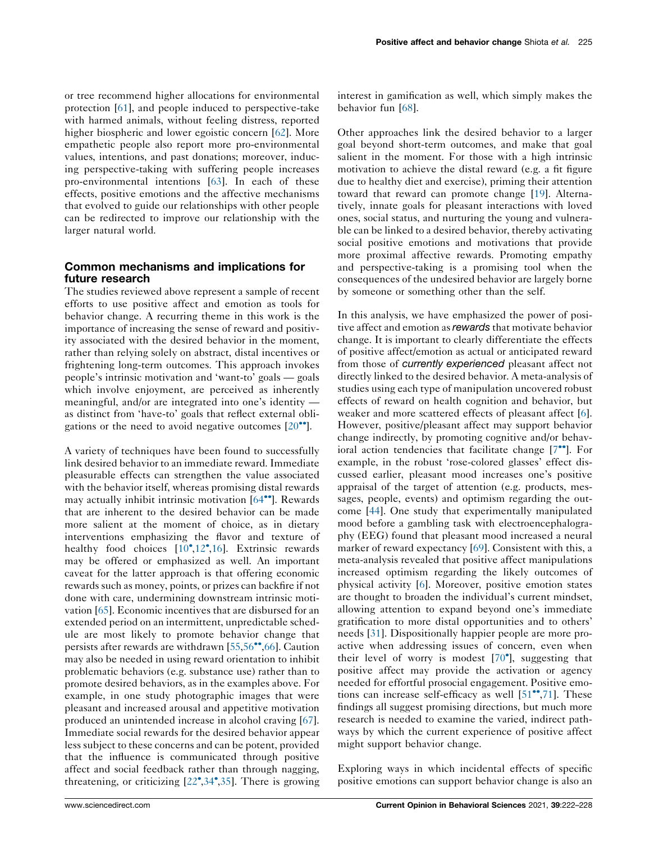or tree recommend higher allocations for environmental protection [61], and people induced to perspective-take with harmed animals, without feeling distress, reported higher biospheric and lower egoistic concern [62]. More empathetic people also report more pro-environmental values, intentions, and past donations; moreover, inducing perspective-taking with suffering people increases pro-environmental intentions [63]. In each of these effects, positive emotions and the affective mechanisms that evolved to guide our relationships with other people can be redirected to improve our relationship with the larger natural world.

## Common mechanisms and implications for future research

The studies reviewed above represent a sample of recent efforts to use positive affect and emotion as tools for behavior change. A recurring theme in this work is the importance of increasing the sense of reward and positivity associated with the desired behavior in the moment, rather than relying solely on abstract, distal incentives or frightening long-term outcomes. This approach invokes people's intrinsic motivation and 'want-to' goals — goals which involve enjoyment, are perceived as inherently meaningful, and/or are integrated into one's identity as distinct from 'have-to' goals that reflect external obligations or the need to avoid negative outcomes  $[20\text{°}$ .

A variety of techniques have been found to successfully link desired behavior to an immediate reward. Immediate pleasurable effects can strengthen the value associated with the behavior itself, whereas promising distal rewards may actually inhibit intrinsic motivation  $[64\text{'''}]$ . Rewards that are inherent to the desired behavior can be made more salient at the moment of choice, as in dietary interventions emphasizing the flavor and texture of healthy food choices [10<sup>°</sup>,12<sup>°</sup>,16]. Extrinsic rewards may be offered or emphasized as well. An important caveat for the latter approach is that offering economic rewards such as money, points, or prizes can backfire if not done with care, undermining downstream intrinsic motivation [65]. Economic incentives that are disbursed for an extended period on an intermittent, unpredictable schedule are most likely to promote behavior change that persists after rewards are withdrawn  $[55,56^{\bullet\bullet},66]$ . Caution may also be needed in using reward orientation to inhibit problematic behaviors (e.g. substance use) rather than to promote desired behaviors, as in the examples above. For example, in one study photographic images that were pleasant and increased arousal and appetitive motivation produced an unintended increase in alcohol craving [67]. Immediate social rewards for the desired behavior appear less subject to these concerns and can be potent, provided that the influence is communicated through positive affect and social feedback rather than through nagging, threatening, or criticizing [22 ,34 ,35]. There is growing

interest in gamification as well, which simply makes the behavior fun [68].

Other approaches link the desired behavior to a larger goal beyond short-term outcomes, and make that goal salient in the moment. For those with a high intrinsic motivation to achieve the distal reward (e.g. a fit figure due to healthy diet and exercise), priming their attention toward that reward can promote change [19]. Alternatively, innate goals for pleasant interactions with loved ones, social status, and nurturing the young and vulnerable can be linked to a desired behavior, thereby activating social positive emotions and motivations that provide more proximal affective rewards. Promoting empathy and perspective-taking is a promising tool when the consequences of the undesired behavior are largely borne by someone or something other than the self.

In this analysis, we have emphasized the power of positive affect and emotion as rewards that motivate behavior change. It is important to clearly differentiate the effects of positive affect/emotion as actual or anticipated reward from those of currently experienced pleasant affect not directly linked to the desired behavior. A meta-analysis of studies using each type of manipulation uncovered robust effects of reward on health cognition and behavior, but weaker and more scattered effects of pleasant affect [6]. However, positive/pleasant affect may support behavior change indirectly, by promoting cognitive and/or behavioral action tendencies that facilitate change  $[7^{\bullet\bullet}]$ . For example, in the robust 'rose-colored glasses' effect discussed earlier, pleasant mood increases one's positive appraisal of the target of attention (e.g. products, messages, people, events) and optimism regarding the outcome [44]. One study that experimentally manipulated mood before a gambling task with electroencephalography (EEG) found that pleasant mood increased a neural marker of reward expectancy [69]. Consistent with this, a meta-analysis revealed that positive affect manipulations increased optimism regarding the likely outcomes of physical activity [6]. Moreover, positive emotion states are thought to broaden the individual's current mindset, allowing attention to expand beyond one's immediate gratification to more distal opportunities and to others' needs [31]. Dispositionally happier people are more proactive when addressing issues of concern, even when their level of worry is modest  $[70^{\circ}]$ , suggesting that positive affect may provide the activation or agency needed for effortful prosocial engagement. Positive emotions can increase self-efficacy as well  $[51$ <sup>\*\*</sup>,71]. These findings all suggest promising directions, but much more research is needed to examine the varied, indirect pathways by which the current experience of positive affect might support behavior change.

Exploring ways in which incidental effects of specific positive emotions can support behavior change is also an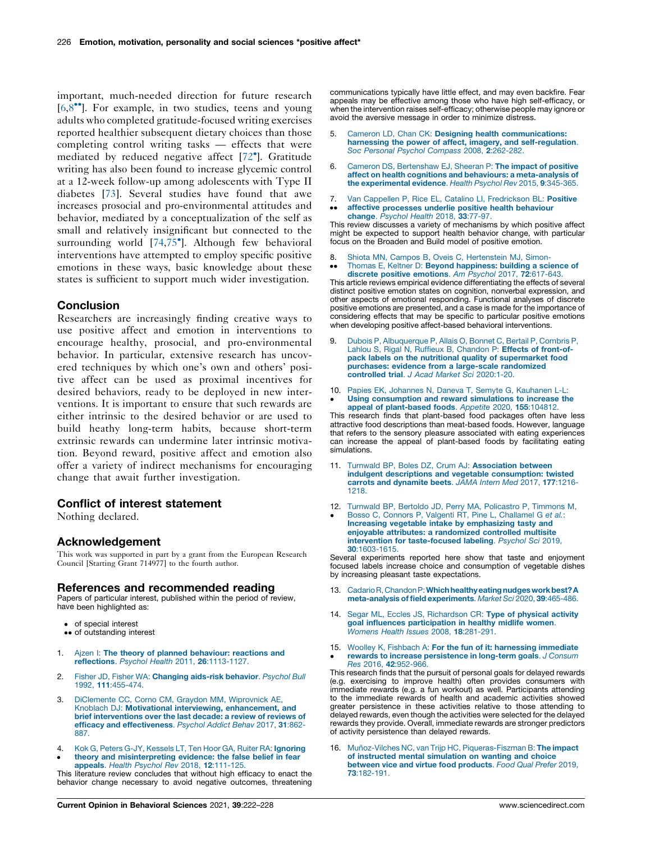important, much-needed direction for future research  $[6,8^{\bullet\bullet}]$ . For example, in two studies, teens and young adults who completed gratitude-focused writing exercises reported healthier subsequent dietary choices than those completing control writing tasks — effects that were mediated by reduced negative affect [72 ]. Gratitude writing has also been found to increase glycemic control at a 12-week follow-up among adolescents with Type II diabetes [73]. Several studies have found that awe increases prosocial and pro-environmental attitudes and behavior, mediated by a conceptualization of the self as small and relatively insignificant but connected to the surrounding world [74,75 ]. Although few behavioral interventions have attempted to employ specific positive emotions in these ways, basic knowledge about these states is sufficient to support much wider investigation.

#### **Conclusion**

Researchers are increasingly finding creative ways to use positive affect and emotion in interventions to encourage healthy, prosocial, and pro-environmental behavior. In particular, extensive research has uncovered techniques by which one's own and others' positive affect can be used as proximal incentives for desired behaviors, ready to be deployed in new interventions. It is important to ensure that such rewards are either intrinsic to the desired behavior or are used to build heathy long-term habits, because short-term extrinsic rewards can undermine later intrinsic motivation. Beyond reward, positive affect and emotion also offer a variety of indirect mechanisms for encouraging change that await further investigation.

### Conflict of interest statement

Nothing declared.

### Acknowledgement

This work was supported in part by a grant from the European Research Council [Starting Grant 714977] to the fourth author.

#### References and recommended reading

Papers of particular interest, published within the period of review, have been highlighted as:

- of special interest
- •• of outstanding interest
- 1. Ajzen I: The theory of planned behaviour: reactions and reflections. Psychol Health 2011, 26:1113-1127.
- 2. Fisher JD, Fisher WA: Changing aids-risk behavior. Psychol Bull 1992, 111:455-474.
- 3. DiClemente CC, Corno CM, Graydon MM, Wiprovnick AE, Knoblach DJ: Motivational interviewing, enhancement, and brief interventions over the last decade: a review of reviews of efficacy and effectiveness. Psychol Addict Behav 2017, 31:862- 887.
- 4. Kok G, Peters G-JY, Kessels LT, Ten Hoor GA, Ruiter RA: Ignoring
- $\bullet$ theory and misinterpreting evidence: the false belief in fear appeals. Health Psychol Rev 2018, 12:111-125.

This literature review concludes that without high efficacy to enact the behavior change necessary to avoid negative outcomes, threatening communications typically have little effect, and may even backfire. Fear appeals may be effective among those who have high self-efficacy, or when the intervention raises self-efficacy; otherwise people may ignore or avoid the aversive message in order to minimize distress.

- Cameron LD, Chan CK: Designing health communications: harnessing the power of affect, imagery, and self-regulation. Soc Personal Psychol Compass 2008, 2:262-282.
- 6. Cameron DS, Bertenshaw EJ, Sheeran P: The impact of positive affect on health cognitions and behaviours: a meta-analysis of the experimental evidence. Health Psychol Rev 2015, 9:345-365.
- 7. Van Cappellen P, Rice EL, Catalino LI, Fredrickson BL: Positive
- $\bullet\bullet$ affective processes underlie positive health behaviour change. Psychol Health 2018, 33:77-97.

This review discusses a variety of mechanisms by which positive affect might be expected to support health behavior change, with particular focus on the Broaden and Build model of positive emotion.

- 8. Shiota MN, Campos B, Oveis C, Hertenstein MJ, Simon-
- $\ddot{\phantom{0}}$ Thomas E, Keltner D: **Beyond happiness: building a science of**<br>**discrete positive emotions**. Am Psychol 2017, **72**:617-643.

This article reviews empirical evidence differentiating the effects of several distinct positive emotion states on cognition, nonverbal expression, and other aspects of emotional responding. Functional analyses of discrete positive emotions are presented, and a case is made for the importance of considering effects that may be specific to particular positive emotions when developing positive affect-based behavioral interventions.

- 9. Dubois P, Albuquerque P, Allais O, Bonnet C, Bertail P, Combris P, Lahlou S, Rigal N, Ruffieux B, Chandon P: Effects of front-ofpack labels on the nutritional quality of supermarket food purchases: evidence from a large-scale randomized controlled trial. J Acad Market Sci 2020:1-20.
- 10. Papies EK, Johannes N, Daneva T, Semyte G, Kauhanen L-L:  $\cdot$ Using consumption and reward simulations to increase the appeal of plant-based foods. Appetite 2020, 155:104812.

This research finds that plant-based food packages often have less attractive food descriptions than meat-based foods. However, language that refers to the sensory pleasure associated with eating experiences can increase the appeal of plant-based foods by facilitating eating simulations.

- 11. Turnwald BP, Boles DZ, Crum AJ: Association between indulgent descriptions and vegetable consumption: twisted carrots and dynamite beets. JAMA Intern Med 2017, 177:1216- 1218.
- 12. Turnwald BP, Bertoldo JD, Perry MA, Policastro P, Timmons M,
- $\bullet$ Bosso C, Connors P, Valgenti RT, Pine L, Challamel G et al.: Increasing vegetable intake by emphasizing tasty and enjoyable attributes: a randomized controlled multisite intervention for taste-focused labeling. Psychol Sci 2019, 30:1603-1615.

Several experiments reported here show that taste and enjoyment focused labels increase choice and consumption of vegetable dishes by increasing pleasant taste expectations.

- 13. Cadario R, Chandon P: Which healthy eating nudges work best? A meta-analysis of field experiments. Market Sci 2020, 39:465-486.
- 14. Segar ML, Eccles JS, Richardson CR: Type of physical activity goal influences participation in healthy midlife women. Womens Health Issues 2008, 18:281-291.
- 15. Woolley K, Fishbach A: For the fun of it: harnessing immediate  $\bullet$ rewards to increase persistence in long-term goals. J Consum Res 2016, 42:952-966.

This research finds that the pursuit of personal goals for delayed rewards (e.g. exercising to improve health) often provides consumers with immediate rewards (e.g. a fun workout) as well. Participants attending to the immediate rewards of health and academic activities showed greater persistence in these activities relative to those attending to delayed rewards, even though the activities were selected for the delayed rewards they provide. Overall, immediate rewards are stronger predictors of activity persistence than delayed rewards.

16. Muñoz-Vilches NC, van Trijp HC, Piqueras-Fiszman B: The impact of instructed mental simulation on wanting and choice between vice and virtue food products. Food Qual Prefer 2019, 73:182-191.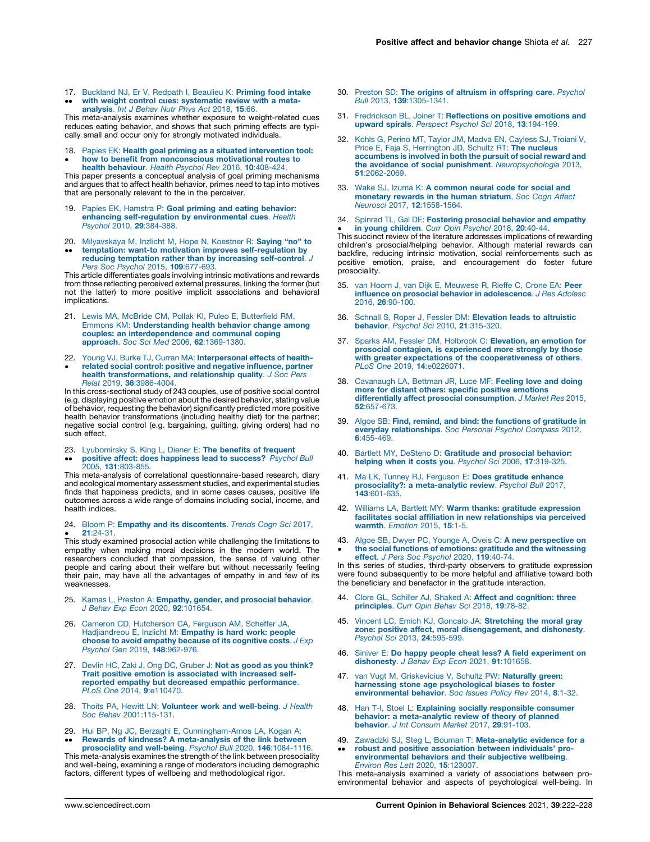17. Buckland NJ, Er V, Redpath I, Beaulieu K: Priming food intake  $\bullet$ with weight control cues: systematic review with a metaanalysis. Int J Behav Nutr Phys Act 2018, 15:66.

This meta-analysis examines whether exposure to weight-related cues reduces eating behavior, and shows that such priming effects are typically small and occur only for strongly motivated individuals.

18. Papies EK: Health goal priming as a situated intervention tool:  $\bullet$ how to benefit from nonconscious motivational routes to health behaviour. Health Psychol Rev 2016, 10:408-424.

This paper presents a conceptual analysis of goal priming mechanisms and argues that to affect health behavior, primes need to tap into motives that are personally relevant to the in the perceiver.

- 19. Papies EK, Hamstra P: Goal priming and eating behavior: **enhancing self-regulation by environmental cues**. Health<br>Psychol 2010, **29**:384-388.
- 20. Milyavskaya M, Inzlicht M, Hope N, Koestner R: **Saying "no" to**
- $\ddot{\phantom{0}}$ temptation: want-to motivation improves self-regulation by reducing temptation rather than by increasing self-control. J Pers Soc Psychol 2015, 109:677-693.

This article differentiates goals involving intrinsic motivations and rewards from those reflecting perceived external pressures, linking the former (but not the latter) to more positive implicit associations and behavioral implications.

- 21. Lewis MA, McBride CM, Pollak KI, Puleo E, Butterfield RM, Emmons KM: Understanding health behavior change among couples: an interdependence and communal coping approach. Soc Sci Med 2006, 62:1369-1380.
- 22. Young VJ, Burke TJ, Curran MA: Interpersonal effects of health-
- $\bullet$ related social control: positive and negative influence, partner health transformations, and relationship quality. J Soc Pers Relat 2019, 36:3986-4004.

In this cross-sectional study of 243 couples, use of positive social control (e.g. displaying positive emotion about the desired behavior, stating value of behavior, requesting the behavior) significantly predicted more positive health behavior transformations (including healthy diet) for the partner; negative social control (e.g. bargaining, guilting, giving orders) had no such effect.

- 23. Lyubomirsky S, King L, Diener E: The benefits of frequent
- $\ddot{\phantom{0}}$ **positive affect: does happiness lead to success?** *Psychol Bull*<br>2005, **131**:803-855.

This meta-analysis of correlational questionnaire-based research, diary and ecological momentary assessment studies, and experimental studies finds that happiness predicts, and in some cases causes, positive life outcomes across a wide range of domains including social, income, and health indices.

#### 24. Bloom P: **Empathy and its discontents**. *Trends Cogn Sci* 2017, 21:24-31.

 $\bullet$   $\hspace{0.1cm}$  z1:24-31.<br>This study examined prosocial action while challenging the limitations to empathy when making moral decisions in the modern world. The researchers concluded that compassion, the sense of valuing other people and caring about their welfare but without necessarily feeling their pain, may have all the advantages of empathy in and few of its weaknesses.

- 25. Kamas L, Preston A: Empathy, gender, and prosocial behavior. J Behav Exp Econ 2020, 92:101654.
- 26. Cameron CD, Hutcherson CA, Ferguson AM, Scheffer JA, Hadjiandreou E, Inzlicht M: Empathy is hard work: people choose to avoid empathy because of its cognitive costs. J Exp Psychol Gen 2019, 148:962-976.
- 27. Devlin HC, Zaki J, Ong DC, Gruber J: Not as good as you think? Trait positive emotion is associated with increased selfreported empathy but decreased empathic performance. PLoS One 2014, 9:e110470.
- 28. Thoits PA, Hewitt LN: Volunteer work and well-being. J Health Soc Behav 2001:115-131.
- 29.  $\bullet$ Hui BP, Ng JC, Berzaghi E, Cunningham-Amos LA, Kogan A:<br>**Rewards of kindness? A meta-analysis of the link between**

prosociality and well-being. Psychol Bull 2020, 146:1084-1116 This meta-analysis examines the strength of the link between prosociality and well-being, examining a range of moderators including demographic factors, different types of wellbeing and methodological rigor.

- 30. Preston SD: The origins of altruism in offspring care. Psychol Bull 2013, 139:1305-1341.
- 31. Fredrickson BL, Joiner T: Reflections on positive emotions and upward spirals. Perspect Psychol Sci 2018, 13:194-199.
- 32. Kohls G, Perino MT, Taylor JM, Madva EN, Cayless SJ, Troiani V, Price E, Faja S, Herrington JD, Schultz RT: The nucleus accumbens is involved in both the pursuit of social reward and the avoidance of social punishment. Neuropsychologia 2013, 51:2062-2069.
- 33. Wake SJ, Izuma K: A common neural code for social and monetary rewards in the human striatum. Soc Cogn Affect Neurosci 2017, 12:1558-1564.
- 34. Spinrad TL, Gal DE: Fostering prosocial behavior and empathy

**in young children**. Curr Opin Psychol 2018, 20:40-44.<br>This succinct review of the literature addresses implications of rewarding children's prosocial/helping behavior. Although material rewards can backfire, reducing intrinsic motivation, social reinforcements such as positive emotion, praise, and encouragement do foster future prosociality.

- 35. van Hoorn J, van Dijk E, Meuwese R, Rieffe C, Crone EA: Peer influence on prosocial behavior in adolescence. J Res Adolesc 2016, 26:90-100.
- 36. Schnall S, Roper J, Fessler DM: Elevation leads to altruistic behavior. Psychol Sci 2010, 21:315-320.
- 37. Sparks AM, Fessler DM, Holbrook C: Elevation, an emotion for prosocial contagion, is experienced more strongly by those with greater expectations of the cooperativeness of others. PLoS One 2019, 14:e0226071.
- 38. Cavanaugh LA, Bettman JR, Luce MF: Feeling love and doing more for distant others: specific positive emotions differentially affect prosocial consumption. J Market Res 2015, 52:657-673.
- 39. Algoe SB: Find, remind, and bind: the functions of gratitude in everyday relationships. Soc Personal Psychol Compass 2012, 6:455-469.
- 40. Bartlett MY, DeSteno D: Gratitude and prosocial behavior: helping when it costs you. Psychol Sci 2006, 17:319-325.
- 41. Ma LK, Tunney RJ, Ferguson E: Does gratitude enhance prosociality?: a meta-analytic review. Psychol Bull 2017, 143:601-635.
- 42. Williams LA, Bartlett MY: Warm thanks: gratitude expression facilitates social affiliation in new relationships via perceived warmth. Emotion 2015, 15:1-5.
- 43.  $\bullet$ Algoe SB, Dwyer PC, Younge A, Oveis C: A new perspective on the social functions of emotions: gratitude and the witnessing

effect. J Pers Soc Psychol 2020, 119:40-74. In this series of studies, third-party observers to gratitude expression were found subsequently to be more helpful and affiliative toward both the beneficiary and benefactor in the gratitude interaction.

- 44. Clore GL, Schiller AJ, Shaked A: Affect and cognition: three principles. Curr Opin Behav Sci 2018, 19:78-82
- 45. Vincent LC, Emich KJ, Goncalo JA: Stretching the moral gray zone: positive affect, moral disengagement, and dishonesty. Psychol Sci 2013, 24:595-599.
- 46. Siniver E: Do happy people cheat less? A field experiment on dishonesty. J Behav Exp Econ 2021, 91:101658.
- 47. van Vugt M, Griskevicius V, Schultz PW: Naturally green: harnessing stone age psychological biases to foster<br>environmental behavior. Soc Issues Policy Rev 2014, 8:1-32.
- 48. Han T-I, Stoel L: Explaining socially responsible consumer behavior: a meta-analytic review of theory of planned<br>behavior. J Int Consum Market 2017, 29:91-103.
- 49. Zawadzki SJ, Steg L, Bouman T: Meta-analytic evidence for a  $\ddot{\phantom{0}}$ robust and positive association between individuals' proenvironmental behaviors and their subjective wellbeing. Environ Res Lett 2020, 15:123007.

This meta-analysis examined a variety of associations between proenvironmental behavior and aspects of psychological well-being. In